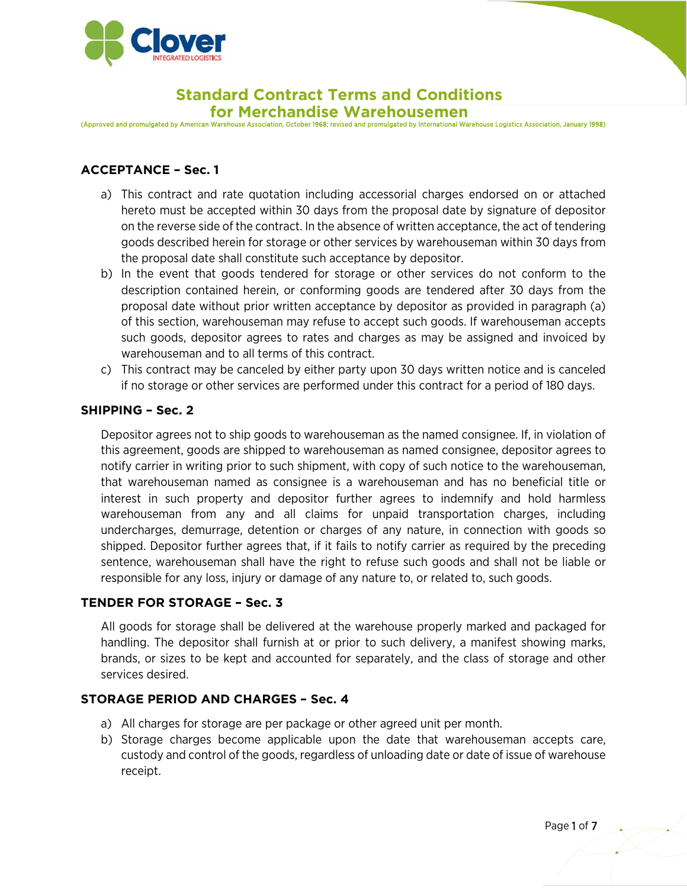

# **Standard Contract Terms and Conditions**

**for Merchandise Warehousemen**

(Approved and promulgated by American Warehouse Association, October 1968; revised and promulgated by International Warehouse Logistics Association, January 1998)

# **ACCEPTANCE – Sec. 1**

- a) This contract and rate quotation including accessorial charges endorsed on or attached hereto must be accepted within 30 days from the proposal date by signature of depositor on the reverse side of the contract. In the absence of written acceptance, the act of tendering goods described herein for storage or other services by warehouseman within 30 days from the proposal date shall constitute such acceptance by depositor.
- b) In the event that goods tendered for storage or other services do not conform to the description contained herein, or conforming goods are tendered after 30 days from the proposal date without prior written acceptance by depositor as provided in paragraph (a) of this section, warehouseman may refuse to accept such goods. If warehouseman accepts such goods, depositor agrees to rates and charges as may be assigned and invoiced by warehouseman and to all terms of this contract.
- c) This contract may be canceled by either party upon 30 days written notice and is canceled if no storage or other services are performed under this contract for a period of 180 days.

#### **SHIPPING – Sec. 2**

Depositor agrees not to ship goods to warehouseman as the named consignee. If, in violation of this agreement, goods are shipped to warehouseman as named consignee, depositor agrees to notify carrier in writing prior to such shipment, with copy of such notice to the warehouseman, that warehouseman named as consignee is a warehouseman and has no beneficial title or interest in such property and depositor further agrees to indemnify and hold harmless warehouseman from any and all claims for unpaid transportation charges, including undercharges, demurrage, detention or charges of any nature, in connection with goods so shipped. Depositor further agrees that, if it fails to notify carrier as required by the preceding sentence, warehouseman shall have the right to refuse such goods and shall not be liable or responsible for any loss, injury or damage of any nature to, or related to, such goods.

#### **TENDER FOR STORAGE – Sec. 3**

All goods for storage shall be delivered at the warehouse properly marked and packaged for handling. The depositor shall furnish at or prior to such delivery, a manifest showing marks, brands, or sizes to be kept and accounted for separately, and the class of storage and other services desired.

## **STORAGE PERIOD AND CHARGES – Sec. 4**

- a) All charges for storage are per package or other agreed unit per month.
- b) Storage charges become applicable upon the date that warehouseman accepts care, custody and control of the goods, regardless of unloading date or date of issue of warehouse receipt.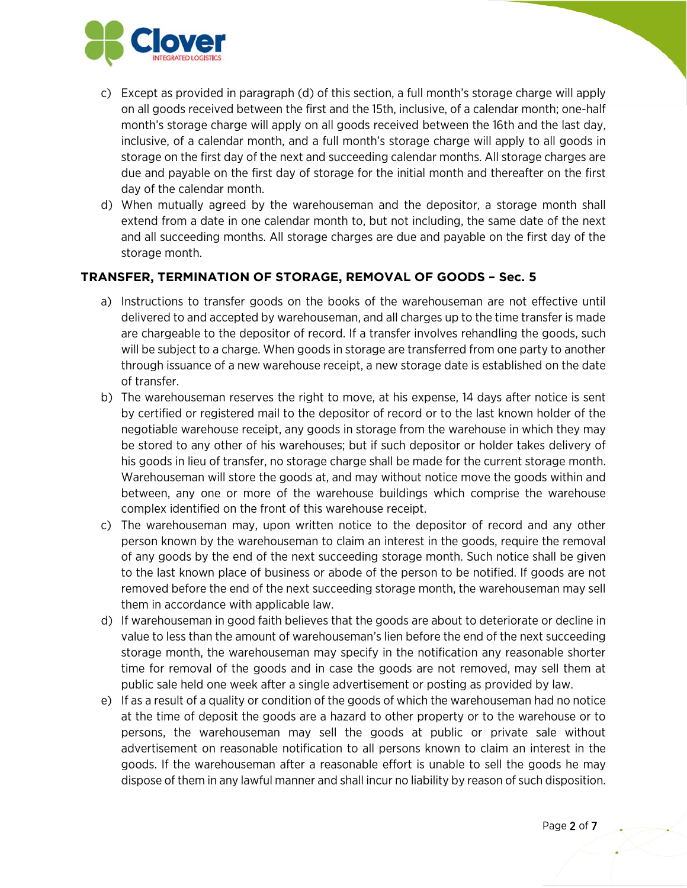

- c) Except as provided in paragraph (d) of this section, a full month's storage charge will apply on all goods received between the first and the 15th, inclusive, of a calendar month; one-half month's storage charge will apply on all goods received between the 16th and the last day, inclusive, of a calendar month, and a full month's storage charge will apply to all goods in storage on the first day of the next and succeeding calendar months. All storage charges are due and payable on the first day of storage for the initial month and thereafter on the first day of the calendar month.
- d) When mutually agreed by the warehouseman and the depositor, a storage month shall extend from a date in one calendar month to, but not including, the same date of the next and all succeeding months. All storage charges are due and payable on the first day of the storage month.

# **TRANSFER, TERMINATION OF STORAGE, REMOVAL OF GOODS – Sec. 5**

- a) Instructions to transfer goods on the books of the warehouseman are not effective until delivered to and accepted by warehouseman, and all charges up to the time transfer is made are chargeable to the depositor of record. If a transfer involves rehandling the goods, such will be subject to a charge. When goods in storage are transferred from one party to another through issuance of a new warehouse receipt, a new storage date is established on the date of transfer.
- b) The warehouseman reserves the right to move, at his expense, 14 days after notice is sent by certified or registered mail to the depositor of record or to the last known holder of the negotiable warehouse receipt, any goods in storage from the warehouse in which they may be stored to any other of his warehouses; but if such depositor or holder takes delivery of his goods in lieu of transfer, no storage charge shall be made for the current storage month. Warehouseman will store the goods at, and may without notice move the goods within and between, any one or more of the warehouse buildings which comprise the warehouse complex identified on the front of this warehouse receipt.
- c) The warehouseman may, upon written notice to the depositor of record and any other person known by the warehouseman to claim an interest in the goods, require the removal of any goods by the end of the next succeeding storage month. Such notice shall be given to the last known place of business or abode of the person to be notified. If goods are not removed before the end of the next succeeding storage month, the warehouseman may sell them in accordance with applicable law.
- d) If warehouseman in good faith believes that the goods are about to deteriorate or decline in value to less than the amount of warehouseman's lien before the end of the next succeeding storage month, the warehouseman may specify in the notification any reasonable shorter time for removal of the goods and in case the goods are not removed, may sell them at public sale held one week after a single advertisement or posting as provided by law.
- e) If as a result of a quality or condition of the goods of which the warehouseman had no notice at the time of deposit the goods are a hazard to other property or to the warehouse or to persons, the warehouseman may sell the goods at public or private sale without advertisement on reasonable notification to all persons known to claim an interest in the goods. If the warehouseman after a reasonable effort is unable to sell the goods he may dispose of them in any lawful manner and shall incur no liability by reason of such disposition.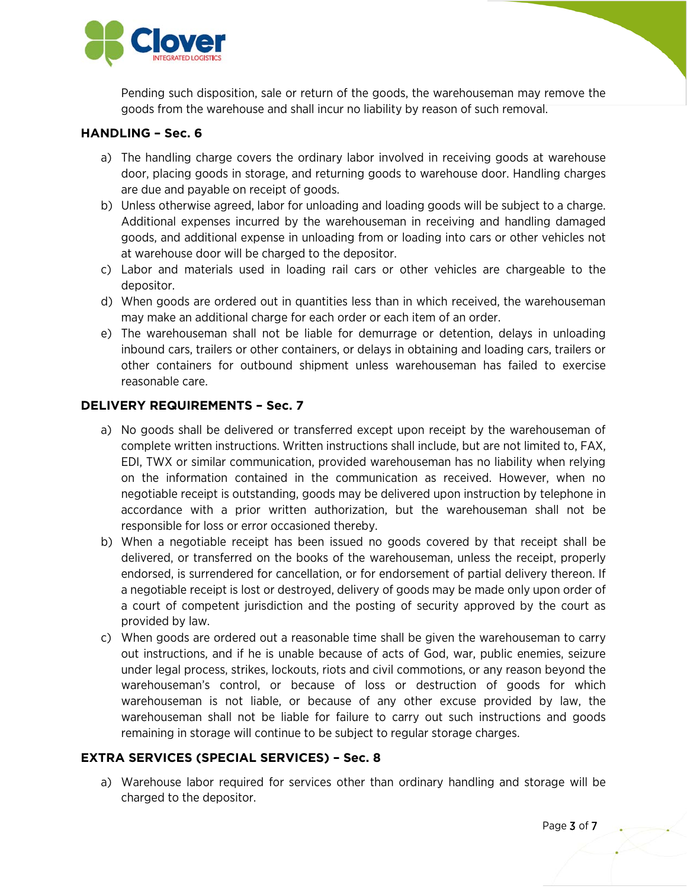

Pending such disposition, sale or return of the goods, the warehouseman may remove the goods from the warehouse and shall incur no liability by reason of such removal.

#### **HANDLING – Sec. 6**

- a) The handling charge covers the ordinary labor involved in receiving goods at warehouse door, placing goods in storage, and returning goods to warehouse door. Handling charges are due and payable on receipt of goods.
- b) Unless otherwise agreed, labor for unloading and loading goods will be subject to a charge. Additional expenses incurred by the warehouseman in receiving and handling damaged goods, and additional expense in unloading from or loading into cars or other vehicles not at warehouse door will be charged to the depositor.
- c) Labor and materials used in loading rail cars or other vehicles are chargeable to the depositor.
- d) When goods are ordered out in quantities less than in which received, the warehouseman may make an additional charge for each order or each item of an order.
- e) The warehouseman shall not be liable for demurrage or detention, delays in unloading inbound cars, trailers or other containers, or delays in obtaining and loading cars, trailers or other containers for outbound shipment unless warehouseman has failed to exercise reasonable care.

## **DELIVERY REQUIREMENTS – Sec. 7**

- a) No goods shall be delivered or transferred except upon receipt by the warehouseman of complete written instructions. Written instructions shall include, but are not limited to, FAX, EDI, TWX or similar communication, provided warehouseman has no liability when relying on the information contained in the communication as received. However, when no negotiable receipt is outstanding, goods may be delivered upon instruction by telephone in accordance with a prior written authorization, but the warehouseman shall not be responsible for loss or error occasioned thereby.
- b) When a negotiable receipt has been issued no goods covered by that receipt shall be delivered, or transferred on the books of the warehouseman, unless the receipt, properly endorsed, is surrendered for cancellation, or for endorsement of partial delivery thereon. If a negotiable receipt is lost or destroyed, delivery of goods may be made only upon order of a court of competent jurisdiction and the posting of security approved by the court as provided by law.
- c) When goods are ordered out a reasonable time shall be given the warehouseman to carry out instructions, and if he is unable because of acts of God, war, public enemies, seizure under legal process, strikes, lockouts, riots and civil commotions, or any reason beyond the warehouseman's control, or because of loss or destruction of goods for which warehouseman is not liable, or because of any other excuse provided by law, the warehouseman shall not be liable for failure to carry out such instructions and goods remaining in storage will continue to be subject to regular storage charges.

## **EXTRA SERVICES (SPECIAL SERVICES) – Sec. 8**

a) Warehouse labor required for services other than ordinary handling and storage will be charged to the depositor.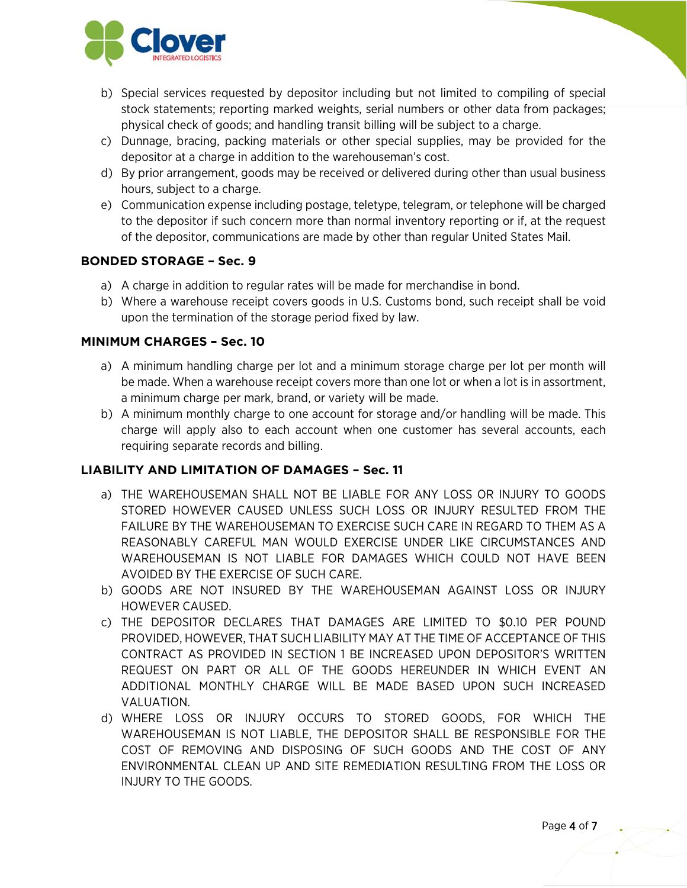

- b) Special services requested by depositor including but not limited to compiling of special stock statements; reporting marked weights, serial numbers or other data from packages; physical check of goods; and handling transit billing will be subject to a charge.
- c) Dunnage, bracing, packing materials or other special supplies, may be provided for the depositor at a charge in addition to the warehouseman's cost.
- d) By prior arrangement, goods may be received or delivered during other than usual business hours, subject to a charge.
- e) Communication expense including postage, teletype, telegram, or telephone will be charged to the depositor if such concern more than normal inventory reporting or if, at the request of the depositor, communications are made by other than regular United States Mail.

## **BONDED STORAGE – Sec. 9**

- a) A charge in addition to regular rates will be made for merchandise in bond.
- b) Where a warehouse receipt covers goods in U.S. Customs bond, such receipt shall be void upon the termination of the storage period fixed by law.

## **MINIMUM CHARGES – Sec. 10**

- a) A minimum handling charge per lot and a minimum storage charge per lot per month will be made. When a warehouse receipt covers more than one lot or when a lot is in assortment, a minimum charge per mark, brand, or variety will be made.
- b) A minimum monthly charge to one account for storage and/or handling will be made. This charge will apply also to each account when one customer has several accounts, each requiring separate records and billing.

# **LIABILITY AND LIMITATION OF DAMAGES – Sec. 11**

- a) THE WAREHOUSEMAN SHALL NOT BE LIABLE FOR ANY LOSS OR INJURY TO GOODS STORED HOWEVER CAUSED UNLESS SUCH LOSS OR INJURY RESULTED FROM THE FAILURE BY THE WAREHOUSEMAN TO EXERCISE SUCH CARE IN REGARD TO THEM AS A REASONABLY CAREFUL MAN WOULD EXERCISE UNDER LIKE CIRCUMSTANCES AND WAREHOUSEMAN IS NOT LIABLE FOR DAMAGES WHICH COULD NOT HAVE BEEN AVOIDED BY THE EXERCISE OF SUCH CARE.
- b) GOODS ARE NOT INSURED BY THE WAREHOUSEMAN AGAINST LOSS OR INJURY HOWEVER CAUSED.
- c) THE DEPOSITOR DECLARES THAT DAMAGES ARE LIMITED TO \$0.10 PER POUND PROVIDED, HOWEVER, THAT SUCH LIABILITY MAY AT THE TIME OF ACCEPTANCE OF THIS CONTRACT AS PROVIDED IN SECTION 1 BE INCREASED UPON DEPOSITOR'S WRITTEN REQUEST ON PART OR ALL OF THE GOODS HEREUNDER IN WHICH EVENT AN ADDITIONAL MONTHLY CHARGE WILL BE MADE BASED UPON SUCH INCREASED VALUATION.
- d) WHERE LOSS OR INJURY OCCURS TO STORED GOODS, FOR WHICH THE WAREHOUSEMAN IS NOT LIABLE, THE DEPOSITOR SHALL BE RESPONSIBLE FOR THE COST OF REMOVING AND DISPOSING OF SUCH GOODS AND THE COST OF ANY ENVIRONMENTAL CLEAN UP AND SITE REMEDIATION RESULTING FROM THE LOSS OR INJURY TO THE GOODS.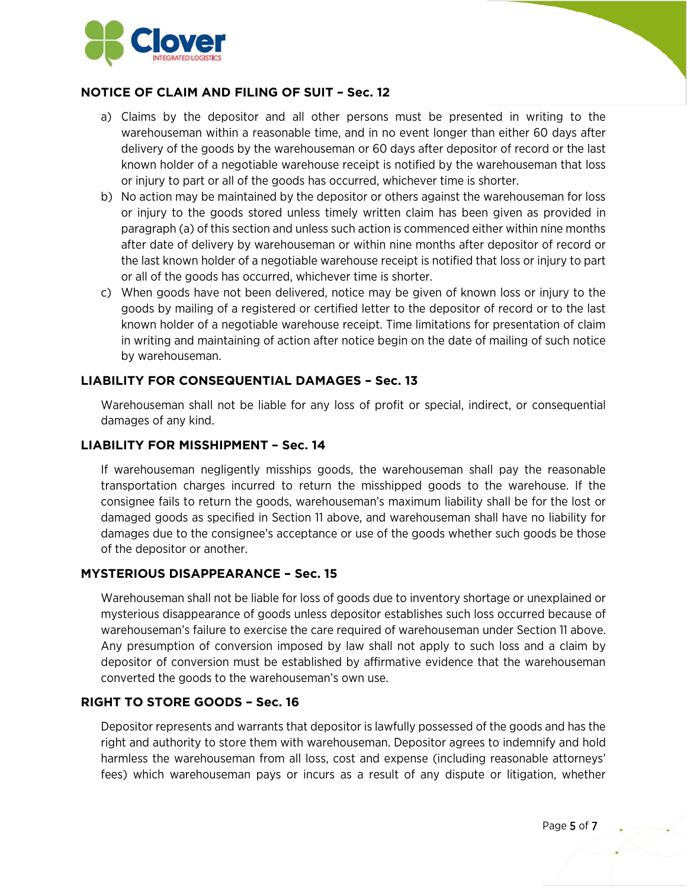

## **NOTICE OF CLAIM AND FILING OF SUIT – Sec. 12**

- a) Claims by the depositor and all other persons must be presented in writing to the warehouseman within a reasonable time, and in no event longer than either 60 days after delivery of the goods by the warehouseman or 60 days after depositor of record or the last known holder of a negotiable warehouse receipt is notified by the warehouseman that loss or injury to part or all of the goods has occurred, whichever time is shorter.
- b) No action may be maintained by the depositor or others against the warehouseman for loss or injury to the goods stored unless timely written claim has been given as provided in paragraph (a) of this section and unless such action is commenced either within nine months after date of delivery by warehouseman or within nine months after depositor of record or the last known holder of a negotiable warehouse receipt is notified that loss or injury to part or all of the goods has occurred, whichever time is shorter.
- c) When goods have not been delivered, notice may be given of known loss or injury to the goods by mailing of a registered or certified letter to the depositor of record or to the last known holder of a negotiable warehouse receipt. Time limitations for presentation of claim in writing and maintaining of action after notice begin on the date of mailing of such notice by warehouseman.

#### **LIABILITY FOR CONSEQUENTIAL DAMAGES – Sec. 13**

Warehouseman shall not be liable for any loss of profit or special, indirect, or consequential damages of any kind.

#### **LIABILITY FOR MISSHIPMENT – Sec. 14**

If warehouseman negligently misships goods, the warehouseman shall pay the reasonable transportation charges incurred to return the misshipped goods to the warehouse. If the consignee fails to return the goods, warehouseman's maximum liability shall be for the lost or damaged goods as specified in Section 11 above, and warehouseman shall have no liability for damages due to the consignee's acceptance or use of the goods whether such goods be those of the depositor or another.

#### **MYSTERIOUS DISAPPEARANCE – Sec. 15**

Warehouseman shall not be liable for loss of goods due to inventory shortage or unexplained or mysterious disappearance of goods unless depositor establishes such loss occurred because of warehouseman's failure to exercise the care required of warehouseman under Section 11 above. Any presumption of conversion imposed by law shall not apply to such loss and a claim by depositor of conversion must be established by affirmative evidence that the warehouseman converted the goods to the warehouseman's own use.

#### **RIGHT TO STORE GOODS – Sec. 16**

Depositor represents and warrants that depositor is lawfully possessed of the goods and has the right and authority to store them with warehouseman. Depositor agrees to indemnify and hold harmless the warehouseman from all loss, cost and expense (including reasonable attorneys' fees) which warehouseman pays or incurs as a result of any dispute or litigation, whether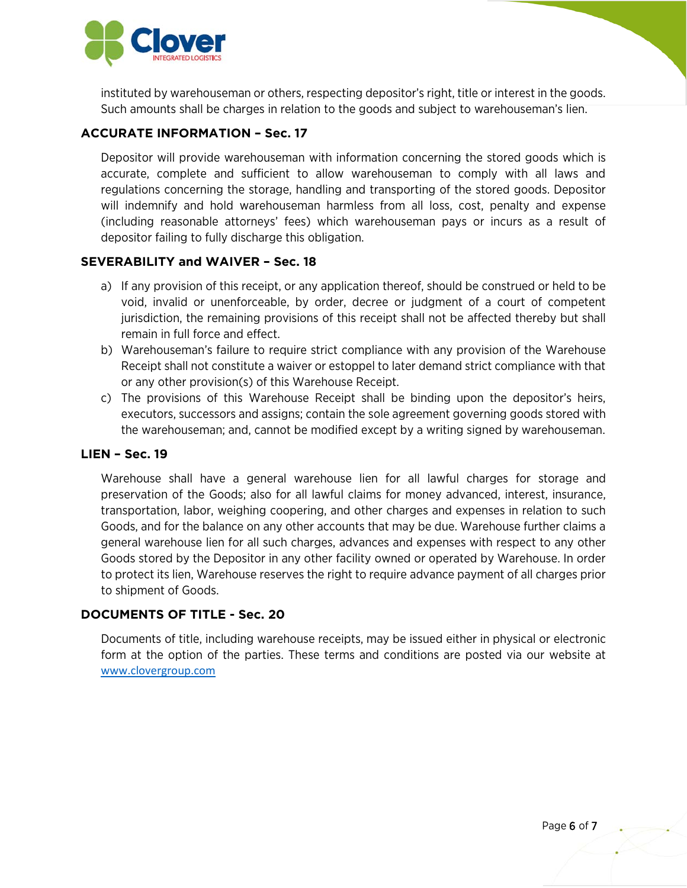

instituted by warehouseman or others, respecting depositor's right, title or interest in the goods. Such amounts shall be charges in relation to the goods and subject to warehouseman's lien.

## **ACCURATE INFORMATION – Sec. 17**

Depositor will provide warehouseman with information concerning the stored goods which is accurate, complete and sufficient to allow warehouseman to comply with all laws and regulations concerning the storage, handling and transporting of the stored goods. Depositor will indemnify and hold warehouseman harmless from all loss, cost, penalty and expense (including reasonable attorneys' fees) which warehouseman pays or incurs as a result of depositor failing to fully discharge this obligation.

## **SEVERABILITY and WAIVER – Sec. 18**

- a) If any provision of this receipt, or any application thereof, should be construed or held to be void, invalid or unenforceable, by order, decree or judgment of a court of competent jurisdiction, the remaining provisions of this receipt shall not be affected thereby but shall remain in full force and effect.
- b) Warehouseman's failure to require strict compliance with any provision of the Warehouse Receipt shall not constitute a waiver or estoppel to later demand strict compliance with that or any other provision(s) of this Warehouse Receipt.
- c) The provisions of this Warehouse Receipt shall be binding upon the depositor's heirs, executors, successors and assigns; contain the sole agreement governing goods stored with the warehouseman; and, cannot be modified except by a writing signed by warehouseman.

#### **LIEN – Sec. 19**

Warehouse shall have a general warehouse lien for all lawful charges for storage and preservation of the Goods; also for all lawful claims for money advanced, interest, insurance, transportation, labor, weighing coopering, and other charges and expenses in relation to such Goods, and for the balance on any other accounts that may be due. Warehouse further claims a general warehouse lien for all such charges, advances and expenses with respect to any other Goods stored by the Depositor in any other facility owned or operated by Warehouse. In order to protect its lien, Warehouse reserves the right to require advance payment of all charges prior to shipment of Goods.

## **DOCUMENTS OF TITLE - Sec. 20**

Documents of title, including warehouse receipts, may be issued either in physical or electronic form at the option of the parties. These terms and conditions are posted via our website at [www.clovergroup.com](http://www.clovergroup.com/)